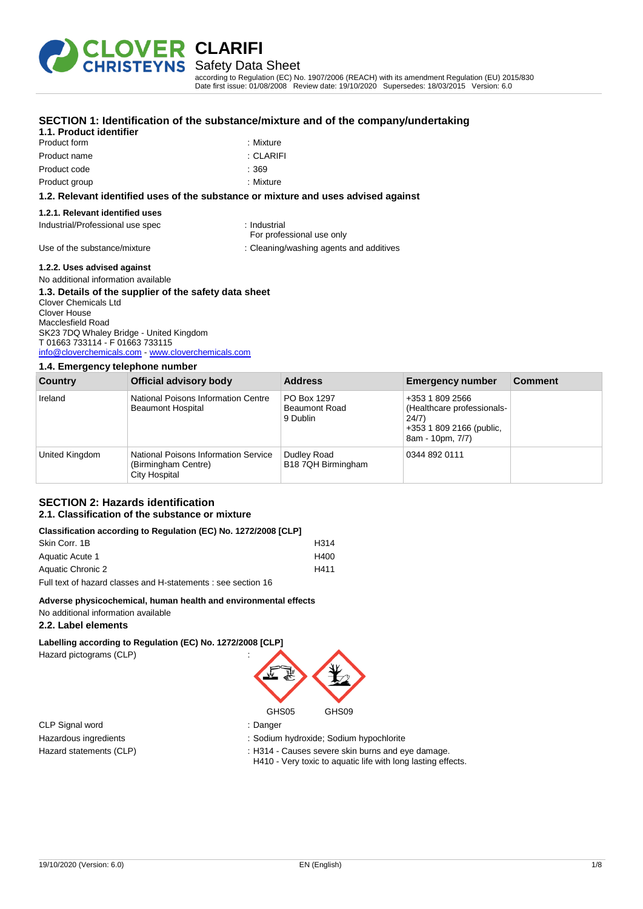

Safety Data Sheet

according to Regulation (EC) No. 1907/2006 (REACH) with its amendment Regulation (EU) 2015/830 Date first issue: 01/08/2008 Review date: 19/10/2020 Supersedes: 18/03/2015 Version: 6.0

| 1.1. Product identifier          | SECTION 1: Identification of the substance/mixture and of the company/undertaking  |  |
|----------------------------------|------------------------------------------------------------------------------------|--|
| Product form                     | : Mixture                                                                          |  |
| Product name                     | : CLARIFI                                                                          |  |
| Product code                     | : 369                                                                              |  |
| Product group                    | : Mixture                                                                          |  |
|                                  | 1.2. Relevant identified uses of the substance or mixture and uses advised against |  |
| 1.2.1. Relevant identified uses  |                                                                                    |  |
| Industrial/Professional use spec | : Industrial                                                                       |  |

### **lvised against**

Use of the substance/mixture in the substance/mixture in the substance/mixture in the substance of the substance of the substance of the substance/mixture in the substance of the substance of the substance of the substance

For professional use only

**1.2.2. Uses advised against**

#### No additional information available **1.3. Details of the supplier of the safety data sheet** Clover Chemicals Ltd Clover House Macclesfield Road

SK23 7DQ Whaley Bridge - United Kingdom T 01663 733114 - F 01663 733115 [info@cloverchemicals.com](mailto:info@cloverchemicals.com) - <www.cloverchemicals.com>

#### **1.4. Emergency telephone number**

| <b>Country</b> | Official advisory body                                                       | <b>Address</b>                                  | <b>Emergency number</b>                                                                                | <b>Comment</b> |
|----------------|------------------------------------------------------------------------------|-------------------------------------------------|--------------------------------------------------------------------------------------------------------|----------------|
| Ireland        | National Poisons Information Centre<br><b>Beaumont Hospital</b>              | PO Box 1297<br><b>Beaumont Road</b><br>9 Dublin | +353 1 809 2566<br>(Healthcare professionals-<br>24/7)<br>+353 1 809 2166 (public,<br>8am - 10pm, 7/7) |                |
| United Kingdom | National Poisons Information Service<br>(Birmingham Centre)<br>City Hospital | Dudley Road<br>B18 7QH Birmingham               | 0344 892 0111                                                                                          |                |

#### **SECTION 2: Hazards identification 2.1. Classification of the substance or mixture**

#### **Classification according to Regulation (EC) No. 1272/2008 [CLP]**

| Skin Corr, 1B     | H314 |
|-------------------|------|
| Aquatic Acute 1   | H400 |
| Aquatic Chronic 2 | H411 |
|                   |      |

Full text of hazard classes and H-statements : see section 16

#### **Adverse physicochemical, human health and environmental effects**

No additional information available

### **2.2. Label elements**

**Labelling according to Regulation (EC) No. 1272/2008 [CLP]** Hazard pictograms (CLP) :

CLP Signal word : Danger



Hazardous ingredients : Sodium hydroxide; Sodium hypochlorite

Hazard statements (CLP) **in the statement of the statements (CLP)**  $\cdot$  H314 - Causes severe skin burns and eye damage.

H410 - Very toxic to aquatic life with long lasting effects.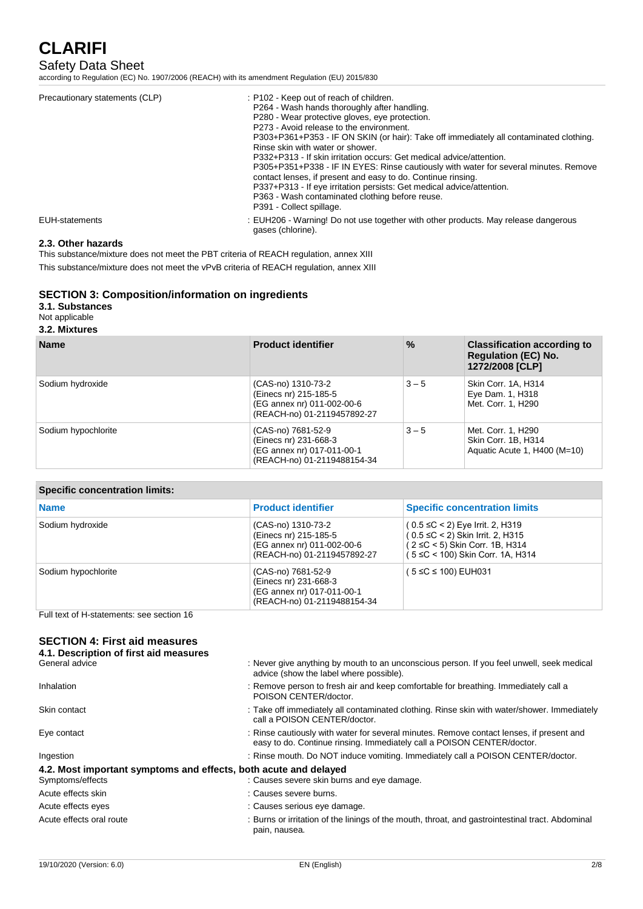## Safety Data Sheet

according to Regulation (EC) No. 1907/2006 (REACH) with its amendment Regulation (EU) 2015/830

| Precautionary statements (CLP) | : P102 - Keep out of reach of children.<br>P264 - Wash hands thoroughly after handling.<br>P280 - Wear protective gloves, eve protection.<br>P273 - Avoid release to the environment.<br>P303+P361+P353 - IF ON SKIN (or hair): Take off immediately all contaminated clothing.<br>Rinse skin with water or shower.<br>P332+P313 - If skin irritation occurs: Get medical advice/attention.<br>P305+P351+P338 - IF IN EYES: Rinse cautiously with water for several minutes. Remove<br>contact lenses, if present and easy to do. Continue rinsing.<br>P337+P313 - If eye irritation persists: Get medical advice/attention.<br>P363 - Wash contaminated clothing before reuse.<br>P391 - Collect spillage. |
|--------------------------------|-------------------------------------------------------------------------------------------------------------------------------------------------------------------------------------------------------------------------------------------------------------------------------------------------------------------------------------------------------------------------------------------------------------------------------------------------------------------------------------------------------------------------------------------------------------------------------------------------------------------------------------------------------------------------------------------------------------|
| <b>EUH-statements</b>          | : EUH206 - Warning! Do not use together with other products. May release dangerous<br>gases (chlorine).                                                                                                                                                                                                                                                                                                                                                                                                                                                                                                                                                                                                     |

### **2.3. Other hazards**

This substance/mixture does not meet the PBT criteria of REACH regulation, annex XIII This substance/mixture does not meet the vPvB criteria of REACH regulation, annex XIII

## **SECTION 3: Composition/information on ingredients**

#### **3.1. Substances**

#### Not applicable

#### **3.2. Mixtures**

| <b>Name</b>         | <b>Product identifier</b>                                                                                | $\frac{9}{6}$ | <b>Classification according to</b><br><b>Regulation (EC) No.</b><br>1272/2008 [CLP] |
|---------------------|----------------------------------------------------------------------------------------------------------|---------------|-------------------------------------------------------------------------------------|
| Sodium hydroxide    | (CAS-no) 1310-73-2<br>(Einecs nr) 215-185-5<br>(EG annex nr) 011-002-00-6<br>(REACH-no) 01-2119457892-27 | $3 - 5$       | Skin Corr. 1A, H314<br>Eye Dam. 1, H318<br>Met. Corr. 1, H290                       |
| Sodium hypochlorite | (CAS-no) 7681-52-9<br>(Einecs nr) 231-668-3<br>(EG annex nr) 017-011-00-1<br>(REACH-no) 01-2119488154-34 | $3 - 5$       | Met. Corr. 1, H290<br>Skin Corr. 1B, H314<br>Aquatic Acute 1, H400 (M=10)           |

## **Specific concentration limits:**

| <b>Name</b>         | <b>Product identifier</b>                                                                                | <b>Specific concentration limits</b>                                                                                                                     |
|---------------------|----------------------------------------------------------------------------------------------------------|----------------------------------------------------------------------------------------------------------------------------------------------------------|
| Sodium hydroxide    | (CAS-no) 1310-73-2<br>(Einecs nr) 215-185-5<br>(EG annex nr) 011-002-00-6<br>(REACH-no) 01-2119457892-27 | $(0.5 \leq C < 2)$ Eye Irrit. 2, H319<br>$(0.5 \leq C < 2)$ Skin Irrit. 2, H315<br>$(2 ≤ C < 5)$ Skin Corr. 1B, H314<br>(5 ≤C < 100) Skin Corr. 1A, H314 |
| Sodium hypochlorite | (CAS-no) 7681-52-9<br>(Einecs nr) 231-668-3<br>(EG annex nr) 017-011-00-1<br>(REACH-no) 01-2119488154-34 | (5 ≤C ≤ 100) EUH031                                                                                                                                      |

Full text of H-statements: see section 16

#### **SECTION 4: First aid measures 4.1. Description of first aid reading**

| 4.1. Description of hist ald measures                            |                                                                                                                                                                    |
|------------------------------------------------------------------|--------------------------------------------------------------------------------------------------------------------------------------------------------------------|
| General advice                                                   | : Never give anything by mouth to an unconscious person. If you feel unwell, seek medical<br>advice (show the label where possible).                               |
| Inhalation                                                       | : Remove person to fresh air and keep comfortable for breathing. Immediately call a<br>POISON CENTER/doctor.                                                       |
| Skin contact                                                     | : Take off immediately all contaminated clothing. Rinse skin with water/shower. Immediately<br>call a POISON CENTER/doctor.                                        |
| Eye contact                                                      | : Rinse cautiously with water for several minutes. Remove contact lenses, if present and<br>easy to do. Continue rinsing. Immediately call a POISON CENTER/doctor. |
| Ingestion                                                        | : Rinse mouth. Do NOT induce vomiting. Immediately call a POISON CENTER/doctor.                                                                                    |
| 4.2. Most important symptoms and effects, both acute and delayed |                                                                                                                                                                    |
| Symptoms/effects                                                 | : Causes severe skin burns and eye damage.                                                                                                                         |
| Acute effects skin                                               | : Causes severe burns.                                                                                                                                             |
| Acute effects eyes                                               | : Causes serious eye damage.                                                                                                                                       |
| Acute effects oral route                                         | : Burns or irritation of the linings of the mouth, throat, and gastrointestinal tract. Abdominal<br>pain, nausea.                                                  |
|                                                                  |                                                                                                                                                                    |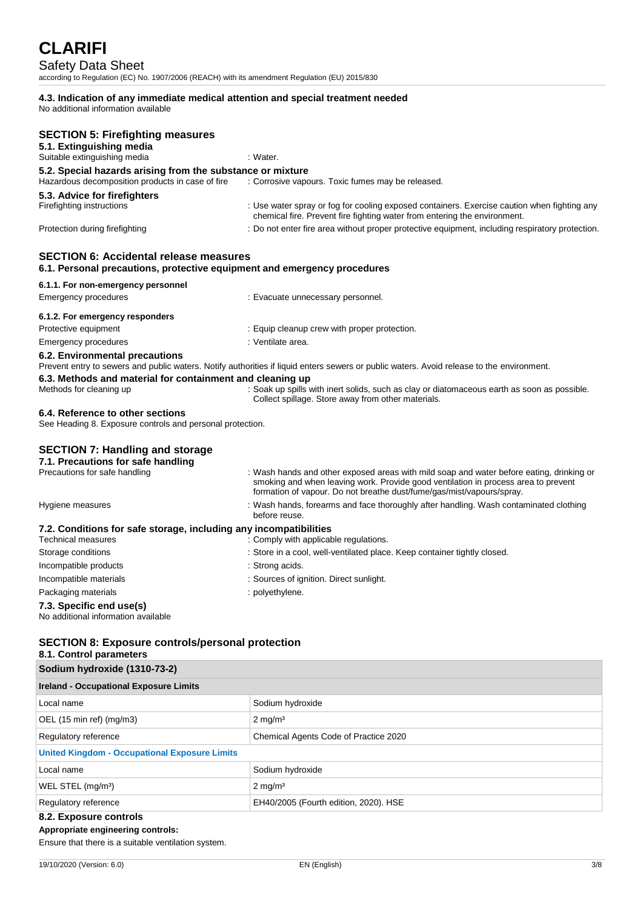## Safety Data Sheet

according to Regulation (EC) No. 1907/2006 (REACH) with its amendment Regulation (EU) 2015/830

#### **4.3. Indication of any immediate medical attention and special treatment needed** No additional information available

**SECTION 5: Firefighting measures 5.1. Extinguishing media** Suitable extinguishing media : Water. **5.2. Special hazards arising from the substance or mixture** Hazardous decomposition products in case of fire : Corrosive vapor : Corrosive vapours. Toxic fumes may be released. **5.3. Advice for firefighters** Firefighting instructions : Use water spray or fog for cooling exposed containers. Exercise caution when fighting any chemical fire. Prevent fire fighting water from entering the environment. Protection during firefighting  $\cdot$  Do not enter fire area without proper protective equipment, including respiratory protection. **SECTION 6: Accidental release measures 6.1. Personal precautions, protective equipment and emergency procedures 6.1.1. For non-emergency personnel** Emergency procedures : Evacuate unnecessary personnel. **6.1.2. For emergency responders** Protective equipment **in the case of the CE** equip cleanup crew with proper protection. Emergency procedures in the set of the set of the set of the set of the set of the set of the set of the set of the set of the set of the set of the set of the set of the set of the set of the set of the set of the set of **6.2. Environmental precautions** Prevent entry to sewers and public waters. Notify authorities if liquid enters sewers or public waters. Avoid release to the environment. **6.3. Methods and material for containment and cleaning up** Methods for cleaning up : Soak up spills with inert solids, such as clay or diatomaceous earth as soon as possible. Collect spillage. Store away from other materials. **6.4. Reference to other sections** See Heading 8. Exposure controls and personal protection. **SECTION 7: Handling and storage 7.1. Precautions for safe handling** Precautions for safe handling : Wash hands and other exposed areas with mild soap and water before eating, drinking or smoking and when leaving work. Provide good ventilation in process area to prevent formation of vapour. Do not breathe dust/fume/gas/mist/vapours/spray. Hygiene measures **interpretatal in the system of the State of the State of the State of the State Tennish Contaminated clothing** before reuse. **7.2. Conditions for safe storage, including any incompatibilities** . Comply with applicable regulations. Storage conditions : Store in a cool, well-ventilated place. Keep container tightly closed. Incompatible products in the state of the strong acids. Incompatible materials : Sources of ignition. Direct sunlight. Packaging materials **Example 20** is polyethylene. **7.3. Specific end use(s)** No additional information available

## **SECTION 8: Exposure controls/personal protection**

## **8.1. Control parameters**

| Sodium hydroxide (1310-73-2)                         |                                       |  |
|------------------------------------------------------|---------------------------------------|--|
| <b>Ireland - Occupational Exposure Limits</b>        |                                       |  |
| Local name                                           | Sodium hydroxide                      |  |
| OEL $(15 \text{ min ref})$ $(mg/m3)$                 | $2 \text{ mg/m}^3$                    |  |
| Regulatory reference                                 | Chemical Agents Code of Practice 2020 |  |
| <b>United Kingdom - Occupational Exposure Limits</b> |                                       |  |
| Local name                                           | Sodium hydroxide                      |  |
| WEL STEL (mg/m <sup>3</sup> )                        | $2 \text{ mg/m}^3$                    |  |
| Regulatory reference                                 | EH40/2005 (Fourth edition, 2020). HSE |  |
| 8.2. Exposure controls                               |                                       |  |

## **Appropriate engineering controls:**

Ensure that there is a suitable ventilation system.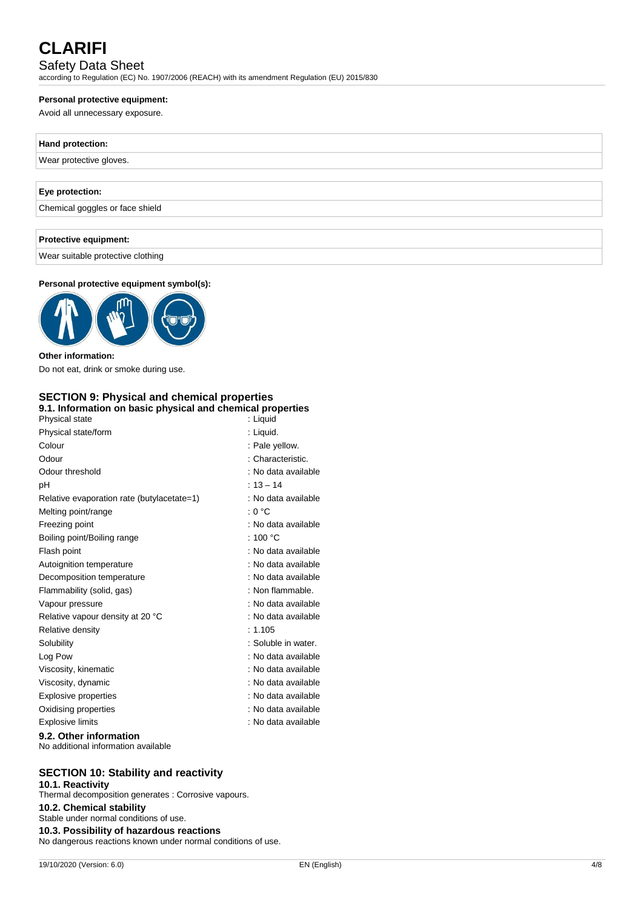## Safety Data Sheet

according to Regulation (EC) No. 1907/2006 (REACH) with its amendment Regulation (EU) 2015/830

### **Personal protective equipment:**

Avoid all unnecessary exposure.

# **Hand protection:** Wear protective gloves. **Eye protection:** Chemical goggles or face shield **Protective equipment:**

Wear suitable protective clothing

## **Personal protective equipment symbol(s):**



**Other information:** Do not eat, drink or smoke during use.

#### **SECTION 9: Physical and chemical properties 9.1. Information on basic physical and chemical properties**

| ,<br>Physical state                        | : Liguid            |
|--------------------------------------------|---------------------|
| Physical state/form                        | : Liquid.           |
| Colour                                     | : Pale yellow.      |
| Odour                                      | : Characteristic.   |
| Odour threshold                            | : No data available |
| рH                                         | $: 13 - 14$         |
| Relative evaporation rate (butylacetate=1) | : No data available |
| Melting point/range                        | : 0 °C              |
| Freezing point                             | : No data available |
| Boiling point/Boiling range                | : 100 $^{\circ}$ C  |
| Flash point                                | : No data available |
| Autoignition temperature                   | : No data available |
| Decomposition temperature                  | : No data available |
| Flammability (solid, gas)                  | : Non flammable.    |
| Vapour pressure                            | : No data available |
| Relative vapour density at 20 °C           | : No data available |
| Relative density                           | : 1.105             |
| Solubility                                 | : Soluble in water. |
| Log Pow                                    | : No data available |
| Viscosity, kinematic                       | : No data available |
| Viscosity, dynamic                         | : No data available |
| Explosive properties                       | : No data available |
| Oxidising properties                       | : No data available |
| <b>Explosive limits</b>                    | : No data available |
| 00 Other information                       |                     |

#### **9.2. Other information** No additional information available

## **SECTION 10: Stability and reactivity**

**10.1. Reactivity** Thermal decomposition generates : Corrosive vapours. **10.2. Chemical stability** Stable under normal conditions of use. **10.3. Possibility of hazardous reactions** No dangerous reactions known under normal conditions of use.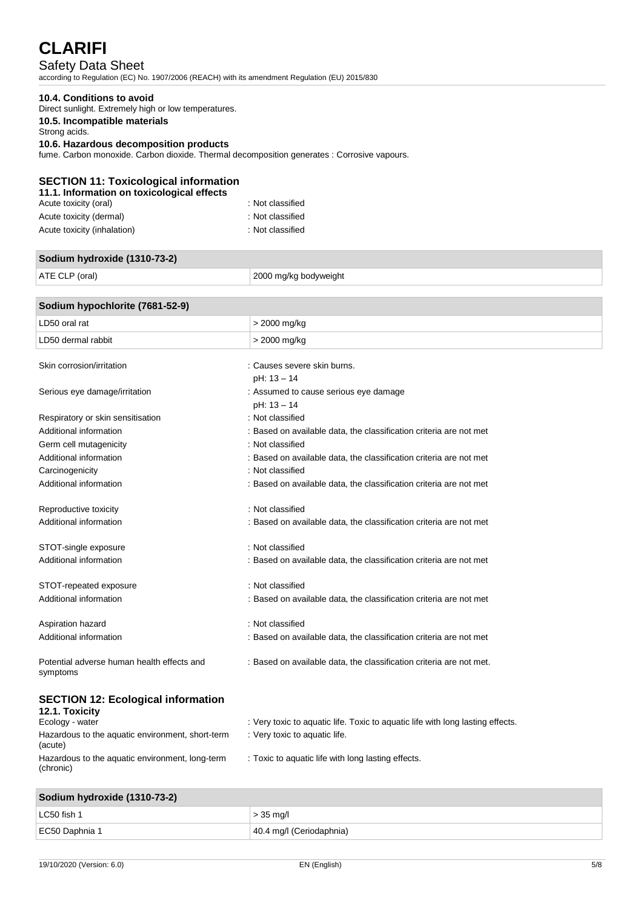## Safety Data Sheet

according to Regulation (EC) No. 1907/2006 (REACH) with its amendment Regulation (EU) 2015/830

#### **10.4. Conditions to avoid**

Direct sunlight. Extremely high or low temperatures.

### **10.5. Incompatible materials**

Strong acids.

#### **10.6. Hazardous decomposition products**

fume. Carbon monoxide. Carbon dioxide. Thermal decomposition generates : Corrosive vapours.

### **SECTION 11: Toxicological information**

| : Not classified |
|------------------|
| : Not classified |
| : Not classified |
|                  |

## **Sodium hydroxide (1310-73-2)**

ATE CLP (oral) 2000 mg/kg bodyweight

## **Sodium hypochlorite (7681-52-9)** LD50 oral rat  $\vert$  > 2000 mg/kg LD50 dermal rabbit  $\vert$  > 2000 mg/kg Skin corrosion/irritation in the series of the causes severe skin burns. pH: 13 – 14 Serious eye damage/irritation in the serious exercise of the serious exercise serious eye damage pH: 13 – 14 Respiratory or skin sensitisation : Not classified Additional information : Based on available data, the classification criteria are not met Germ cell mutagenicity **Second Contract Contract Contract Contract Contract Contract Contract Contract Contract Contract Contract Contract Contract Contract Contract Contract Contract Contract Contract Contract Contract Co** Additional information : Based on available data, the classification criteria are not met Carcinogenicity : Not classified Additional information  $\qquad \qquad :$  Based on available data, the classification criteria are not met Reproductive toxicity in the set of the set of the Reproductive toxicity in the set of the set of the set of the set of the set of the set of the set of the set of the set of the set of the set of the set of the set of the Additional information : Based on available data, the classification criteria are not met STOT-single exposure in the state of the state of the STOT-single exposure Additional information in the state of the state of the state on available data, the classification criteria are not met

STOT-repeated exposure : Not classified Additional information : Based on available data, the classification criteria are not met

Aspiration hazard **in the set of the set of the set of the set of the set of the set of the set of the set of the set of the set of the set of the set of the set of the set of the set of the set of the set of the set of th** Additional information : Based on available data, the classification criteria are not met

Potential adverse human health effects and symptoms

### **SECTION 12: Ecological information**

| 12.1. Toxicity                                               |                                                                                |
|--------------------------------------------------------------|--------------------------------------------------------------------------------|
| Ecology - water                                              | : Very toxic to aquatic life. Toxic to aquatic life with long lasting effects. |
| Hazardous to the aquatic environment, short-term<br>(acute)  | : Very toxic to aquatic life.                                                  |
| Hazardous to the aquatic environment, long-term<br>(chronic) | : Toxic to aquatic life with long lasting effects.                             |

## **Sodium hydroxide (1310-73-2)**

| $\frac{1}{2}$ could not not be controlled to $\frac{1}{2}$ |                          |
|------------------------------------------------------------|--------------------------|
| LC50 fish 1                                                | $> 35$ mg/l              |
| EC50 Daphnia 1                                             | 40.4 mg/l (Ceriodaphnia) |

: Based on available data, the classification criteria are not met.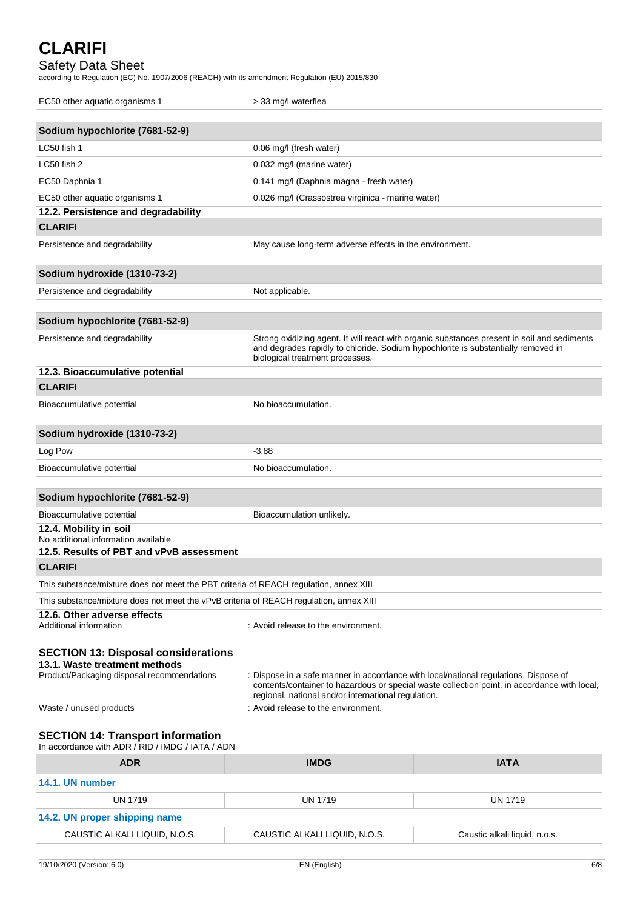## Safety Data Sheet

according to Regulation (EC) No. 1907/2006 (REACH) with its amendment Regulation (EU) 2015/830

| EC50 other aquatic organisms 1                                                                                            | > 33 mg/l waterflea                                                                                                                         |                                                                                              |
|---------------------------------------------------------------------------------------------------------------------------|---------------------------------------------------------------------------------------------------------------------------------------------|----------------------------------------------------------------------------------------------|
| Sodium hypochlorite (7681-52-9)                                                                                           |                                                                                                                                             |                                                                                              |
| LC50 fish 1                                                                                                               | 0.06 mg/l (fresh water)                                                                                                                     |                                                                                              |
| LC50 fish 2                                                                                                               | 0.032 mg/l (marine water)                                                                                                                   |                                                                                              |
| EC50 Daphnia 1                                                                                                            | 0.141 mg/l (Daphnia magna - fresh water)                                                                                                    |                                                                                              |
| EC50 other aquatic organisms 1                                                                                            | 0.026 mg/l (Crassostrea virginica - marine water)                                                                                           |                                                                                              |
| 12.2. Persistence and degradability                                                                                       |                                                                                                                                             |                                                                                              |
| <b>CLARIFI</b>                                                                                                            |                                                                                                                                             |                                                                                              |
| Persistence and degradability                                                                                             | May cause long-term adverse effects in the environment.                                                                                     |                                                                                              |
|                                                                                                                           |                                                                                                                                             |                                                                                              |
| Sodium hydroxide (1310-73-2)                                                                                              |                                                                                                                                             |                                                                                              |
| Persistence and degradability                                                                                             | Not applicable.                                                                                                                             |                                                                                              |
| Sodium hypochlorite (7681-52-9)                                                                                           |                                                                                                                                             |                                                                                              |
|                                                                                                                           |                                                                                                                                             |                                                                                              |
| Persistence and degradability                                                                                             | and degrades rapidly to chloride. Sodium hypochlorite is substantially removed in<br>biological treatment processes.                        | Strong oxidizing agent. It will react with organic substances present in soil and sediments  |
| 12.3. Bioaccumulative potential                                                                                           |                                                                                                                                             |                                                                                              |
| <b>CLARIFI</b>                                                                                                            |                                                                                                                                             |                                                                                              |
| Bioaccumulative potential                                                                                                 | No bioaccumulation.                                                                                                                         |                                                                                              |
|                                                                                                                           |                                                                                                                                             |                                                                                              |
| Sodium hydroxide (1310-73-2)                                                                                              |                                                                                                                                             |                                                                                              |
| Log Pow                                                                                                                   | $-3.88$                                                                                                                                     |                                                                                              |
| Bioaccumulative potential                                                                                                 | No bioaccumulation.                                                                                                                         |                                                                                              |
| Sodium hypochlorite (7681-52-9)                                                                                           |                                                                                                                                             |                                                                                              |
| Bioaccumulative potential                                                                                                 | Bioaccumulation unlikely.                                                                                                                   |                                                                                              |
| 12.4. Mobility in soil<br>No additional information available<br>12.5. Results of PBT and vPvB assessment                 |                                                                                                                                             |                                                                                              |
| <b>CLARIFI</b>                                                                                                            |                                                                                                                                             |                                                                                              |
| This substance/mixture does not meet the PBT criteria of REACH regulation, annex XIII                                     |                                                                                                                                             |                                                                                              |
| This substance/mixture does not meet the vPvB criteria of REACH regulation, annex XIII                                    |                                                                                                                                             |                                                                                              |
| 12.6. Other adverse effects<br>Additional information                                                                     | : Avoid release to the environment.                                                                                                         |                                                                                              |
| <b>SECTION 13: Disposal considerations</b><br>13.1. Waste treatment methods<br>Product/Packaging disposal recommendations | : Dispose in a safe manner in accordance with local/national regulations. Dispose of<br>regional, national and/or international regulation. | contents/container to hazardous or special waste collection point, in accordance with local, |
| Waste / unused products                                                                                                   | : Avoid release to the environment.                                                                                                         |                                                                                              |
| <b>SECTION 14: Transport information</b><br>In accordance with ADR / RID / IMDG / IATA / ADN                              |                                                                                                                                             |                                                                                              |
| <b>ADR</b>                                                                                                                | <b>IMDG</b>                                                                                                                                 | <b>IATA</b>                                                                                  |

| <b>IMDG</b>                   | <b>IATA</b>                   |  |  |  |
|-------------------------------|-------------------------------|--|--|--|
|                               |                               |  |  |  |
| UN 1719                       | UN 1719                       |  |  |  |
| 14.2. UN proper shipping name |                               |  |  |  |
| CAUSTIC ALKALI LIQUID, N.O.S. | Caustic alkali liquid, n.o.s. |  |  |  |
|                               |                               |  |  |  |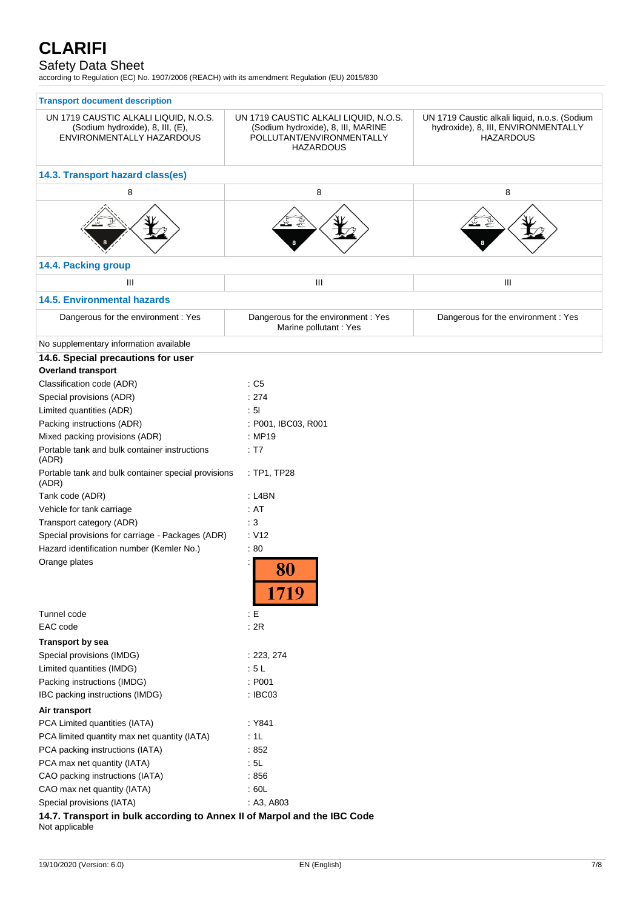## Safety Data Sheet

according to Regulation (EC) No. 1907/2006 (REACH) with its amendment Regulation (EU) 2015/830

| <b>Transport document description</b>                                                                  |                                                                                                                              |                                                                                                          |
|--------------------------------------------------------------------------------------------------------|------------------------------------------------------------------------------------------------------------------------------|----------------------------------------------------------------------------------------------------------|
| UN 1719 CAUSTIC ALKALI LIQUID, N.O.S.<br>(Sodium hydroxide), 8, III, (E),<br>ENVIRONMENTALLY HAZARDOUS | UN 1719 CAUSTIC ALKALI LIQUID, N.O.S.<br>(Sodium hydroxide), 8, III, MARINE<br>POLLUTANT/ENVIRONMENTALLY<br><b>HAZARDOUS</b> | UN 1719 Caustic alkali liquid, n.o.s. (Sodium<br>hydroxide), 8, III, ENVIRONMENTALLY<br><b>HAZARDOUS</b> |
| 14.3. Transport hazard class(es)                                                                       |                                                                                                                              |                                                                                                          |
| 8                                                                                                      | 8                                                                                                                            | 8                                                                                                        |
|                                                                                                        |                                                                                                                              |                                                                                                          |
| 14.4. Packing group                                                                                    |                                                                                                                              |                                                                                                          |
| Ш                                                                                                      | Ш                                                                                                                            | Ш                                                                                                        |
| <b>14.5. Environmental hazards</b>                                                                     |                                                                                                                              |                                                                                                          |
| Dangerous for the environment: Yes                                                                     | Dangerous for the environment : Yes<br>Marine pollutant: Yes                                                                 | Dangerous for the environment : Yes                                                                      |
| No supplementary information available                                                                 |                                                                                                                              |                                                                                                          |
| 14.6. Special precautions for user<br><b>Overland transport</b>                                        |                                                                                                                              |                                                                                                          |
| Classification code (ADR)                                                                              | $\therefore$ C5                                                                                                              |                                                                                                          |
| Special provisions (ADR)                                                                               | : 274                                                                                                                        |                                                                                                          |
| Limited quantities (ADR)                                                                               | : 51                                                                                                                         |                                                                                                          |
| Packing instructions (ADR)                                                                             | : P001, IBC03, R001                                                                                                          |                                                                                                          |
| Mixed packing provisions (ADR)                                                                         | : MP19                                                                                                                       |                                                                                                          |
| Portable tank and bulk container instructions<br>(ADR)                                                 | : T7                                                                                                                         |                                                                                                          |
| Portable tank and bulk container special provisions<br>(ADR)                                           | : TP1, TP28                                                                                                                  |                                                                                                          |
| Tank code (ADR)                                                                                        | $:$ L4BN                                                                                                                     |                                                                                                          |
| Vehicle for tank carriage                                                                              | : AT                                                                                                                         |                                                                                                          |
| Transport category (ADR)                                                                               | :3                                                                                                                           |                                                                                                          |
| Special provisions for carriage - Packages (ADR)                                                       | : V12                                                                                                                        |                                                                                                          |
| Hazard identification number (Kemler No.)                                                              | :80                                                                                                                          |                                                                                                          |
| Orange plates                                                                                          | 1719                                                                                                                         |                                                                                                          |
| Tunnel code                                                                                            | : E                                                                                                                          |                                                                                                          |
| EAC code                                                                                               | : 2R                                                                                                                         |                                                                                                          |
| <b>Transport by sea</b>                                                                                |                                                                                                                              |                                                                                                          |
| Special provisions (IMDG)                                                                              | : 223, 274                                                                                                                   |                                                                                                          |
| Limited quantities (IMDG)                                                                              | : 5L                                                                                                                         |                                                                                                          |
| Packing instructions (IMDG)                                                                            | : P001                                                                                                                       |                                                                                                          |
| IBC packing instructions (IMDG)                                                                        | : IBC03                                                                                                                      |                                                                                                          |
| Air transport                                                                                          |                                                                                                                              |                                                                                                          |
| PCA Limited quantities (IATA)                                                                          | : Y841                                                                                                                       |                                                                                                          |
| PCA limited quantity max net quantity (IATA)                                                           | :1L                                                                                                                          |                                                                                                          |
| PCA packing instructions (IATA)                                                                        | :852                                                                                                                         |                                                                                                          |
| PCA max net quantity (IATA)                                                                            | : 5L                                                                                                                         |                                                                                                          |
| CAO packing instructions (IATA)                                                                        | :856                                                                                                                         |                                                                                                          |
| CAO max net quantity (IATA)                                                                            | :60L                                                                                                                         |                                                                                                          |
| Special provisions (IATA)                                                                              | : A3, A803                                                                                                                   |                                                                                                          |

**14.7. Transport in bulk according to Annex II of Marpol and the IBC Code** Not applicable